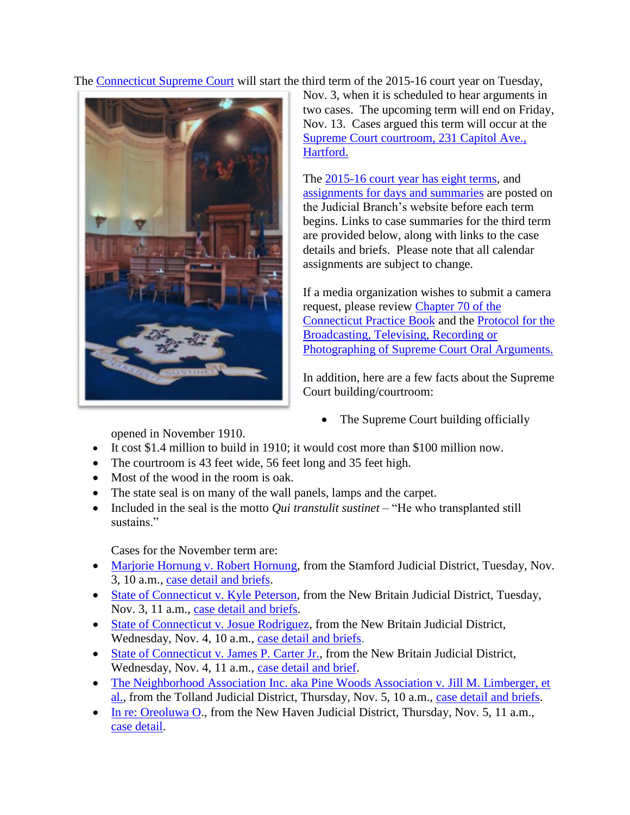The [Connecticut Supreme Court](http://www.jud.ct.gov/external/supapp/default.htm) will start the third term of the 2015-16 court year on Tuesday,



Nov. 3, when it is scheduled to hear arguments in two cases. The upcoming term will end on Friday, Nov. 13. Cases argued this term will occur at the [Supreme Court courtroom, 231 Capitol Ave.,](http://www.jud.ct.gov/directory/directory/directions/supremecourt.htm)  [Hartford.](http://www.jud.ct.gov/directory/directory/directions/supremecourt.htm)

The [2015-16 court year has eight terms,](http://www.jud.ct.gov/external/supapp/CourtTermSup.htm) and [assignments for days and summaries](http://www.jud.ct.gov/external/supapp/sup_assign.htm) are posted on the Judicial Branch's website before each term begins. Links to case summaries for the third term are provided below, along with links to the case details and briefs. Please note that all calendar assignments are subject to change.

If a media organization wishes to submit a camera request, please review [Chapter 70 of the](http://www.jud.ct.gov/pb.htm)  [Connecticut Practice Book](http://www.jud.ct.gov/pb.htm) and the [Protocol for the](http://www.jud.ct.gov/external/supapp/protocol_sup_oral_argu.htm)  [Broadcasting, Televising, Recording or](http://www.jud.ct.gov/external/supapp/protocol_sup_oral_argu.htm)  [Photographing of Supreme Court Oral Arguments.](http://www.jud.ct.gov/external/supapp/protocol_sup_oral_argu.htm)

In addition, here are a few facts about the Supreme Court building/courtroom:

• The Supreme Court building officially

opened in November 1910.

- It cost \$1.4 million to build in 1910; it would cost more than \$100 million now.
- The courtroom is 43 feet wide, 56 feet long and 35 feet high.
- Most of the wood in the room is oak.
- The state seal is on many of the wall panels, lamps and the carpet.
- Included in the seal is the motto *Qui transtulit sustinet* "He who transplanted still sustains."

Cases for the November term are:

- [Marjorie Hornung v. Robert Hornung,](http://jud.ct.gov/external/supapp/Summaries/Docket/19361.htm) from the Stamford Judicial District, Tuesday, Nov. 3, 10 a.m., [case detail and briefs.](http://appellateinquiry.jud.ct.gov/CaseDetail.aspx?CRN=49995&Type=AppealNo)
- [State of Connecticut v. Kyle Peterson,](http://jud.ct.gov/external/supapp/Summaries/Docket/19414.htm) from the New Britain Judicial District, Tuesday, Nov. 3, 11 a.m., [case detail and briefs.](http://appellateinquiry.jud.ct.gov/CaseDetail.aspx?CRN=50628&Type=AppealNo)
- [State of Connecticut v. Josue Rodriguez,](http://jud.ct.gov/external/supapp/Summaries/Docket/19199.htm) from the New Britain Judicial District, Wednesday, Nov. 4, 10 a.m., [case detail and briefs.](http://appellateinquiry.jud.ct.gov/CaseDetail.aspx?CRN=47986&Type=AppealNo)
- [State of Connecticut v. James P. Carter Jr.,](http://jud.ct.gov/external/supapp/Summaries/Docket/19384.htm) from the New Britain Judicial District, Wednesday, Nov. 4, 11 a.m., case [detail and brief.](http://appellateinquiry.jud.ct.gov/CaseDetail.aspx?CRN=50339&Type=AppealNo)
- [The Neighborhood Association Inc. aka Pine Woods Association v. Jill M. Limberger, et](http://jud.ct.gov/external/supapp/Summaries/Docket/19509.htm)  [al.,](http://jud.ct.gov/external/supapp/Summaries/Docket/19509.htm) from the Tolland Judicial District, Thursday, Nov. 5, 10 a.m., [case detail and briefs.](http://appellateinquiry.jud.ct.gov/CaseDetail.aspx?CRN=52020&Type=AppealNo)
- [In re: Oreoluwa O.](http://jud.ct.gov/external/supapp/Summaries/Docket/19501.htm), from the New Haven Judicial District, Thursday, Nov. 5, 11 a.m., [case detail.](http://appellateinquiry.jud.ct.gov/CaseDetail.aspx?CRN=51931&Type=AppealNo)